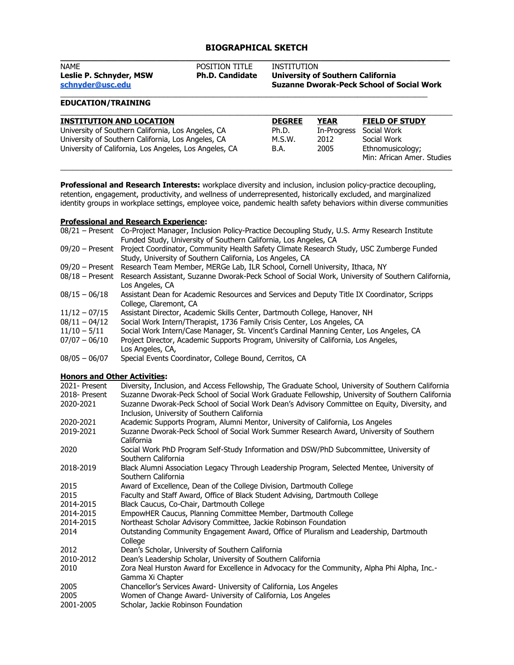## **BIOGRAPHICAL SKETCH**

| <b>NAME</b>                                 | <b>POSITION TITLE</b>  | INSTITUTION                                                                           |
|---------------------------------------------|------------------------|---------------------------------------------------------------------------------------|
| Leslie P. Schnyder, MSW<br>schnyder@usc.edu | <b>Ph.D. Candidate</b> | University of Southern California<br><b>Suzanne Dworak-Peck School of Social Work</b> |

### **EDUCATION/TRAINING**

| <b>INSTITUTION AND LOCATION</b>                                                                              | <b>DEGREE</b>  | <b>YEAR</b>  | <b>FIELD OF STUDY</b>                                         |
|--------------------------------------------------------------------------------------------------------------|----------------|--------------|---------------------------------------------------------------|
| University of Southern California, Los Angeles, CA                                                           | Ph.D.          |              | In-Progress Social Work                                       |
| University of Southern California, Los Angeles, CA<br>University of California, Los Angeles, Los Angeles, CA | M.S.W.<br>B.A. | 2012<br>2005 | Social Work<br>Ethnomusicology;<br>Min: African Amer, Studies |

**Professional and Research Interests:** workplace diversity and inclusion, inclusion policy-practice decoupling, retention, engagement, productivity, and wellness of underrepresented, historically excluded, and marginalized identity groups in workplace settings, employee voice, pandemic health safety behaviors within diverse communities

# **Professional and Research Experience:**

| .                                   | -^~~----                                                                                                     |
|-------------------------------------|--------------------------------------------------------------------------------------------------------------|
|                                     | 08/21 - Present Co-Project Manager, Inclusion Policy-Practice Decoupling Study, U.S. Army Research Institute |
|                                     | Funded Study, University of Southern California, Los Angeles, CA                                             |
|                                     | 09/20 - Present Project Coordinator, Community Health Safety Climate Research Study, USC Zumberge Funded     |
|                                     | Study, University of Southern California, Los Angeles, CA                                                    |
|                                     | 09/20 - Present Research Team Member, MERGe Lab, ILR School, Cornell University, Ithaca, NY                  |
| $08/18$ – Present                   | Research Assistant, Suzanne Dworak-Peck School of Social Work, University of Southern California,            |
|                                     | Los Angeles, CA                                                                                              |
| $08/15 - 06/18$                     | Assistant Dean for Academic Resources and Services and Deputy Title IX Coordinator, Scripps                  |
|                                     | College, Claremont, CA                                                                                       |
| $11/12 - 07/15$                     | Assistant Director, Academic Skills Center, Dartmouth College, Hanover, NH                                   |
| $08/11 - 04/12$                     | Social Work Intern/Therapist, 1736 Family Crisis Center, Los Angeles, CA                                     |
| $11/10 - 5/11$                      | Social Work Intern/Case Manager, St. Vincent's Cardinal Manning Center, Los Angeles, CA                      |
| $07/07 - 06/10$                     | Project Director, Academic Supports Program, University of California, Los Angeles,                          |
|                                     | Los Angeles, CA,                                                                                             |
| $08/05 - 06/07$                     | Special Events Coordinator, College Bound, Cerritos, CA                                                      |
|                                     |                                                                                                              |
| <b>Honors and Other Activities:</b> |                                                                                                              |
| 2021- Present                       | Diversity, Inclusion, and Access Fellowship, The Graduate School, University of Southern California          |
| 2018- Present                       | Suzanne Dworak-Peck School of Social Work Graduate Fellowship, University of Southern California             |
| 2020-2021                           | Suzanne Dworak-Peck School of Social Work Dean's Advisory Committee on Equity, Diversity, and                |
|                                     | Inclusion, University of Southern California                                                                 |
|                                     |                                                                                                              |
| 2020-2021                           | Academic Supports Program, Alumni Mentor, University of California, Los Angeles                              |
| 2019-2021                           | Suzanne Dworak-Peck School of Social Work Summer Research Award, University of Southern                      |
|                                     | California                                                                                                   |
| 2020                                | Social Work PhD Program Self-Study Information and DSW/PhD Subcommittee, University of                       |
|                                     | Southern California                                                                                          |
| 2018-2019                           | Black Alumni Association Legacy Through Leadership Program, Selected Mentee, University of                   |
|                                     | Southern California                                                                                          |
| 2015                                | Award of Excellence, Dean of the College Division, Dartmouth College                                         |
| 2015                                | Faculty and Staff Award, Office of Black Student Advising, Dartmouth College                                 |
| 2014-2015                           | Black Caucus, Co-Chair, Dartmouth College                                                                    |
| 2014-2015                           | EmpowHER Caucus, Planning Committee Member, Dartmouth College                                                |
| 2014-2015                           | Northeast Scholar Advisory Committee, Jackie Robinson Foundation                                             |
| 2014                                | Outstanding Community Engagement Award, Office of Pluralism and Leadership, Dartmouth                        |
|                                     | College                                                                                                      |
| 2012                                | Dean's Scholar, University of Southern California                                                            |
| 2010-2012                           | Dean's Leadership Scholar, University of Southern California                                                 |
| 2010                                | Zora Neal Hurston Award for Excellence in Advocacy for the Community, Alpha Phi Alpha, Inc.-                 |
|                                     |                                                                                                              |
|                                     | Gamma Xi Chapter                                                                                             |
| 2005                                | Chancellor's Services Award- University of California, Los Angeles                                           |
| 2005                                | Women of Change Award- University of California, Los Angeles                                                 |
| 2001-2005                           | Scholar, Jackie Robinson Foundation                                                                          |
|                                     |                                                                                                              |